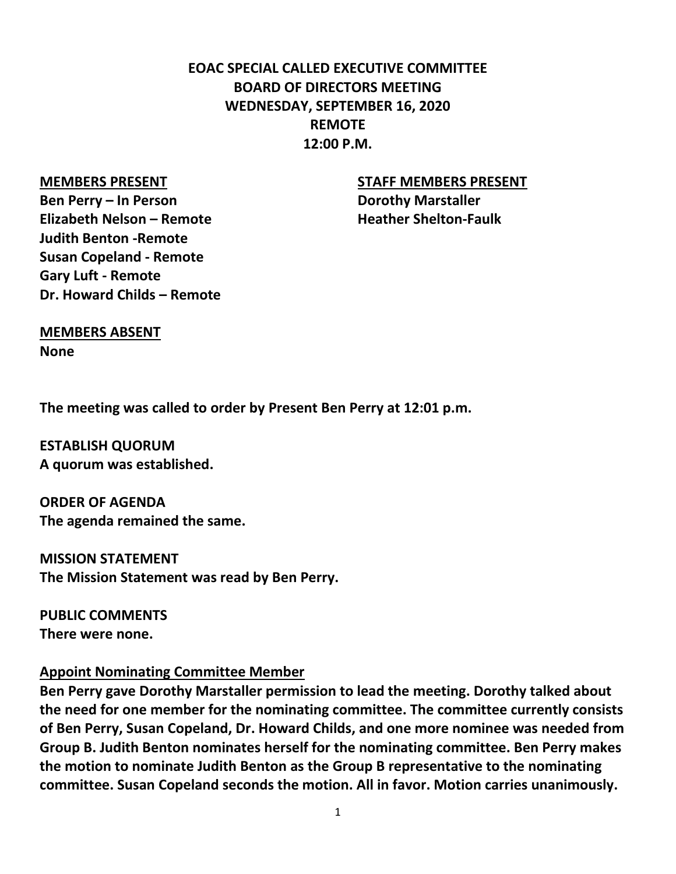# **EOAC SPECIAL CALLED EXECUTIVE COMMITTEE BOARD OF DIRECTORS MEETING WEDNESDAY, SEPTEMBER 16, 2020 REMOTE 12:00 P.M.**

**Ben Perry – In Person Dorothy Marstaller Elizabeth Nelson – Remote Heather Shelton-Faulk Judith Benton -Remote Susan Copeland - Remote Gary Luft - Remote Dr. Howard Childs – Remote**

#### **MEMBERS PRESENT STAFF MEMBERS PRESENT**

#### **MEMBERS ABSENT**

**None**

**The meeting was called to order by Present Ben Perry at 12:01 p.m.**

**ESTABLISH QUORUM A quorum was established.**

**ORDER OF AGENDA The agenda remained the same.**

**MISSION STATEMENT The Mission Statement was read by Ben Perry.**

**PUBLIC COMMENTS There were none.**

#### **Appoint Nominating Committee Member**

**Ben Perry gave Dorothy Marstaller permission to lead the meeting. Dorothy talked about the need for one member for the nominating committee. The committee currently consists of Ben Perry, Susan Copeland, Dr. Howard Childs, and one more nominee was needed from Group B. Judith Benton nominates herself for the nominating committee. Ben Perry makes the motion to nominate Judith Benton as the Group B representative to the nominating committee. Susan Copeland seconds the motion. All in favor. Motion carries unanimously.**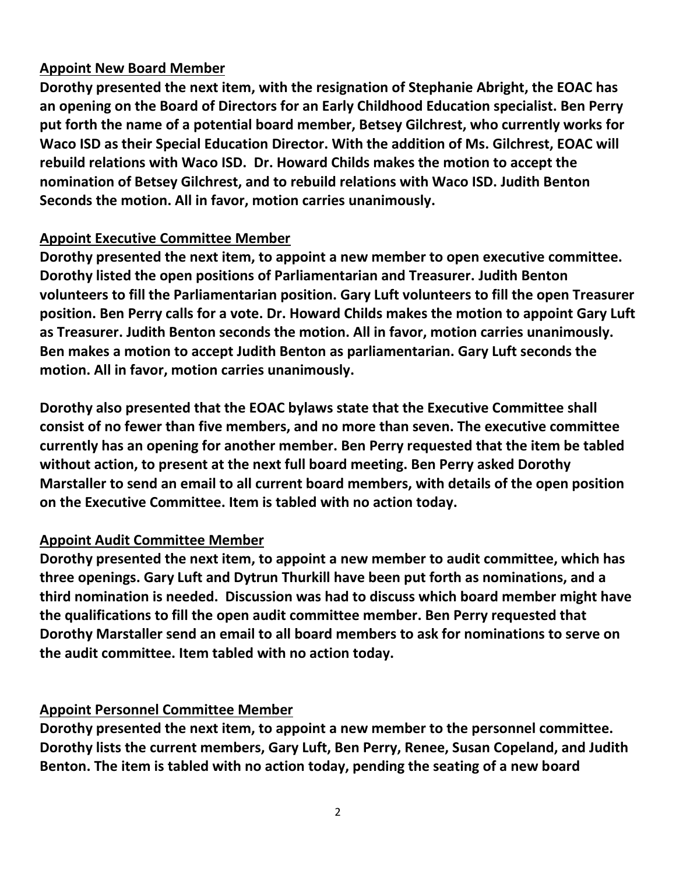## **Appoint New Board Member**

**Dorothy presented the next item, with the resignation of Stephanie Abright, the EOAC has an opening on the Board of Directors for an Early Childhood Education specialist. Ben Perry put forth the name of a potential board member, Betsey Gilchrest, who currently works for Waco ISD as their Special Education Director. With the addition of Ms. Gilchrest, EOAC will rebuild relations with Waco ISD. Dr. Howard Childs makes the motion to accept the nomination of Betsey Gilchrest, and to rebuild relations with Waco ISD. Judith Benton Seconds the motion. All in favor, motion carries unanimously.** 

#### **Appoint Executive Committee Member**

**Dorothy presented the next item, to appoint a new member to open executive committee. Dorothy listed the open positions of Parliamentarian and Treasurer. Judith Benton volunteers to fill the Parliamentarian position. Gary Luft volunteers to fill the open Treasurer position. Ben Perry calls for a vote. Dr. Howard Childs makes the motion to appoint Gary Luft as Treasurer. Judith Benton seconds the motion. All in favor, motion carries unanimously. Ben makes a motion to accept Judith Benton as parliamentarian. Gary Luft seconds the motion. All in favor, motion carries unanimously.** 

**Dorothy also presented that the EOAC bylaws state that the Executive Committee shall consist of no fewer than five members, and no more than seven. The executive committee currently has an opening for another member. Ben Perry requested that the item be tabled without action, to present at the next full board meeting. Ben Perry asked Dorothy Marstaller to send an email to all current board members, with details of the open position on the Executive Committee. Item is tabled with no action today.** 

## **Appoint Audit Committee Member**

**Dorothy presented the next item, to appoint a new member to audit committee, which has three openings. Gary Luft and Dytrun Thurkill have been put forth as nominations, and a third nomination is needed. Discussion was had to discuss which board member might have the qualifications to fill the open audit committee member. Ben Perry requested that Dorothy Marstaller send an email to all board members to ask for nominations to serve on the audit committee. Item tabled with no action today.** 

## **Appoint Personnel Committee Member**

**Dorothy presented the next item, to appoint a new member to the personnel committee. Dorothy lists the current members, Gary Luft, Ben Perry, Renee, Susan Copeland, and Judith Benton. The item is tabled with no action today, pending the seating of a new board**